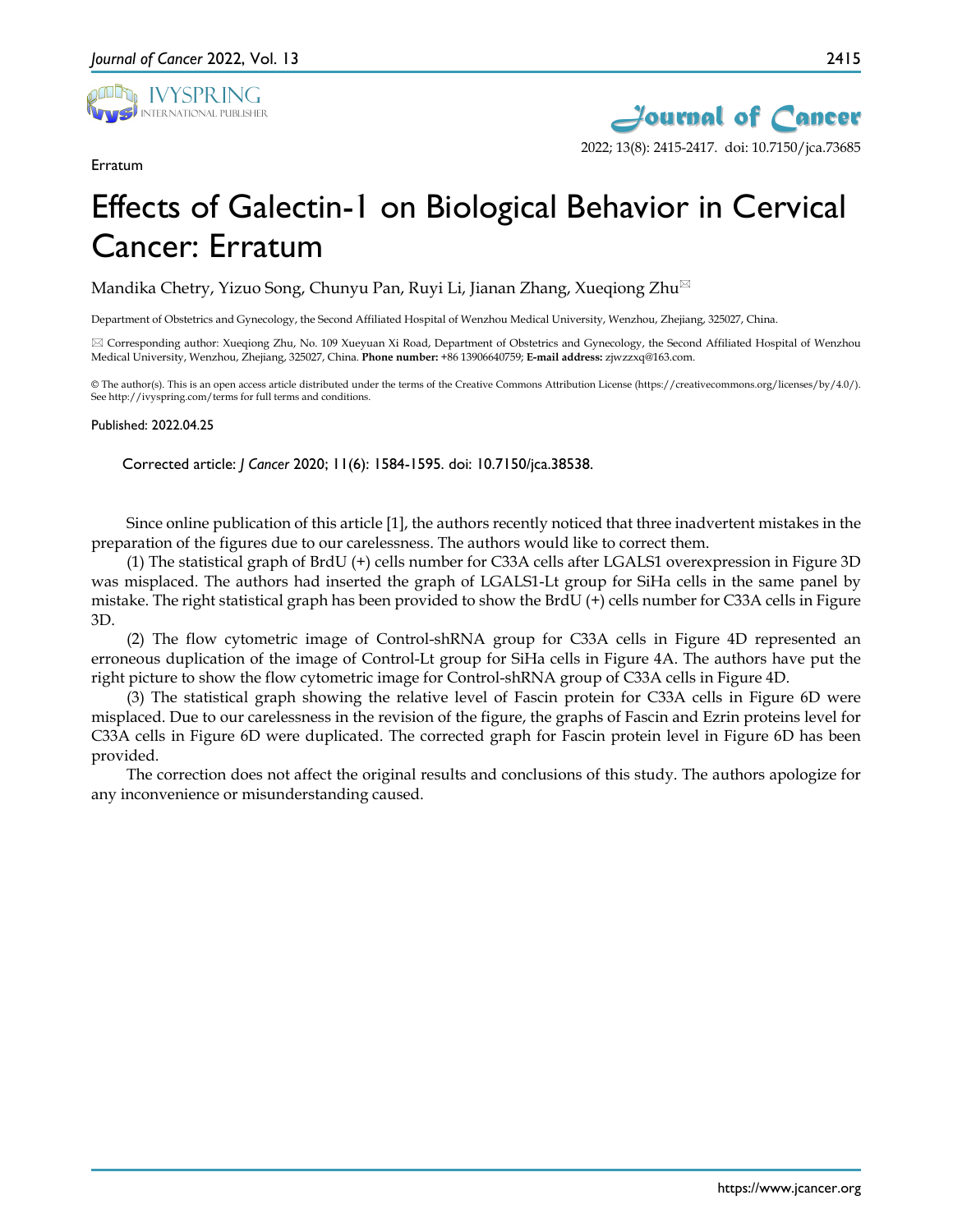

Erratum



## Effects of Galectin-1 on Biological Behavior in Cervical Cancer: Erratum

Mandika Chetry, Yizuo Song, Chunyu Pan, Ruyi Li, Jianan Zhang, Xueqiong Zhu

Department of Obstetrics and Gynecology, the Second Affiliated Hospital of Wenzhou Medical University, Wenzhou, Zhejiang, 325027, China.

 Corresponding author: Xueqiong Zhu, No. 109 Xueyuan Xi Road, Department of Obstetrics and Gynecology, the Second Affiliated Hospital of Wenzhou Medical University, Wenzhou, Zhejiang, 325027, China. **Phone number:** +86 13906640759; **E-mail address:** zjwzzxq@163.com.

© The author(s). This is an open access article distributed under the terms of the Creative Commons Attribution License (https://creativecommons.org/licenses/by/4.0/). See http://ivyspring.com/terms for full terms and conditions.

## Published: 2022.04.25

Corrected article: *J Cancer* 2020; 11(6): 1584-1595. doi: 10.7150/jca.38538.

Since online publication of this article [1], the authors recently noticed that three inadvertent mistakes in the preparation of the figures due to our carelessness. The authors would like to correct them.

(1) The statistical graph of BrdU (+) cells number for C33A cells after LGALS1 overexpression in Figure 3D was misplaced. The authors had inserted the graph of LGALS1-Lt group for SiHa cells in the same panel by mistake. The right statistical graph has been provided to show the BrdU (+) cells number for C33A cells in Figure 3D.

(2) The flow cytometric image of Control-shRNA group for C33A cells in Figure 4D represented an erroneous duplication of the image of Control-Lt group for SiHa cells in Figure 4A. The authors have put the right picture to show the flow cytometric image for Control-shRNA group of C33A cells in Figure 4D.

(3) The statistical graph showing the relative level of Fascin protein for C33A cells in Figure 6D were misplaced. Due to our carelessness in the revision of the figure, the graphs of Fascin and Ezrin proteins level for C33A cells in Figure 6D were duplicated. The corrected graph for Fascin protein level in Figure 6D has been provided.

The correction does not affect the original results and conclusions of this study. The authors apologize for any inconvenience or misunderstanding caused.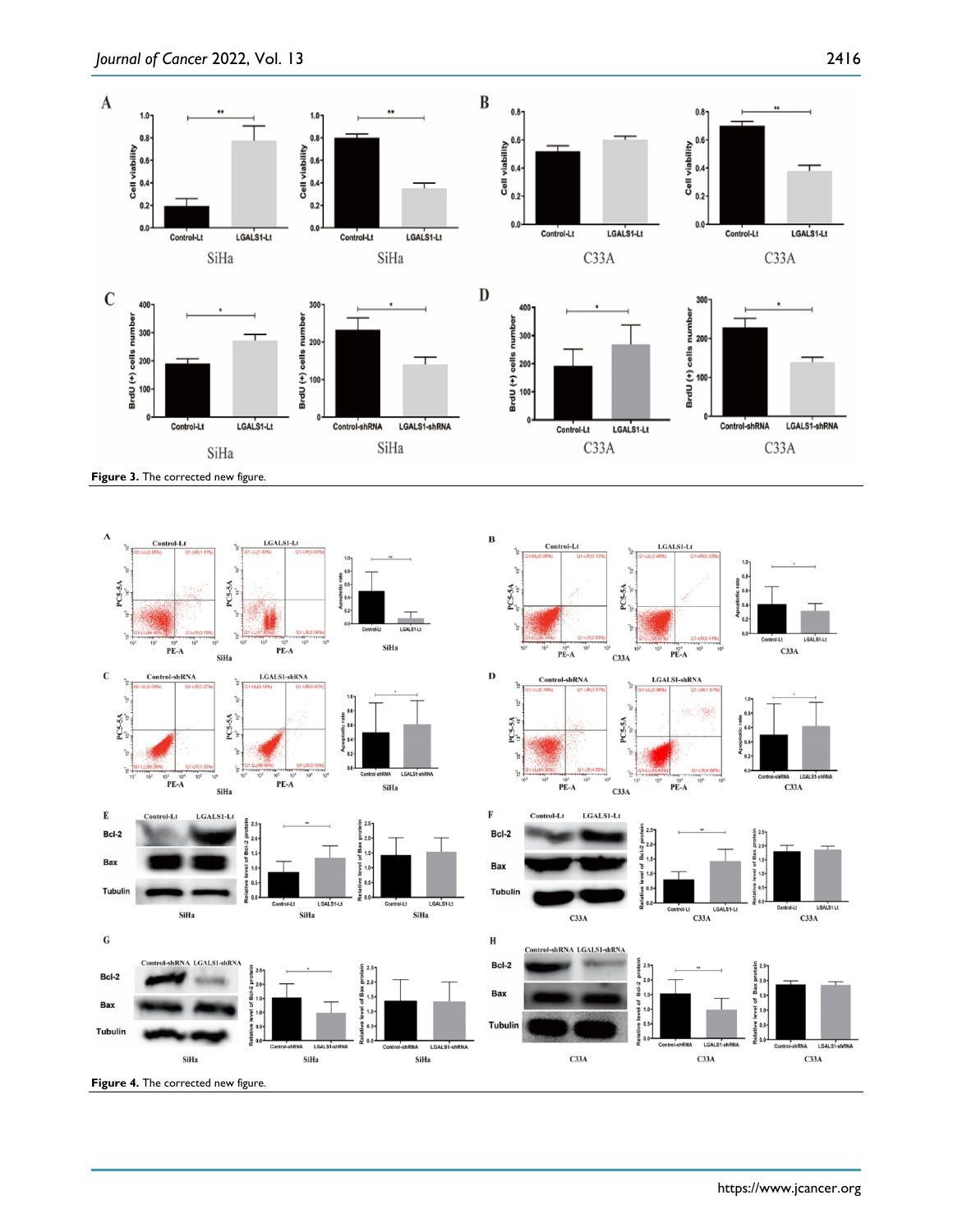



**Figure 4.** The corrected new figure.